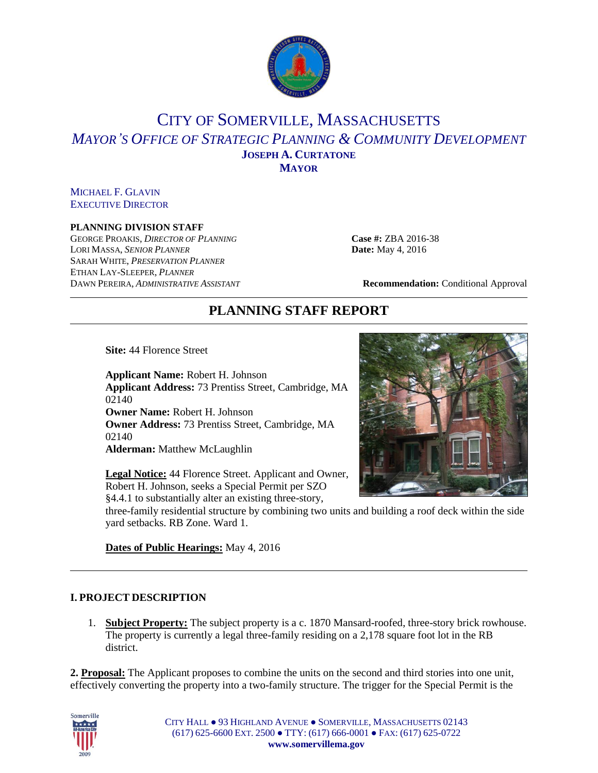

## CITY OF SOMERVILLE, MASSACHUSETTS *MAYOR'S OFFICE OF STRATEGIC PLANNING & COMMUNITY DEVELOPMENT* **JOSEPH A. CURTATONE MAYOR**

MICHAEL F. GLAVIN EXECUTIVE DIRECTOR

#### **PLANNING DIVISION STAFF**

GEORGE PROAKIS, *DIRECTOR OF PLANNING* **Case #:** ZBA 2016-38 LORI MASSA, *SENIOR PLANNER* **Date:** May 4, 2016 SARAH WHITE, *PRESERVATION PLANNER* ETHAN LAY-SLEEPER, *PLANNER* DAWN PEREIRA, *ADMINISTRATIVE ASSISTANT* **Recommendation:** Conditional Approval

# **PLANNING STAFF REPORT**

**Site:** 44 Florence Street

**Applicant Name:** Robert H. Johnson **Applicant Address:** 73 Prentiss Street, Cambridge, MA 02140 **Owner Name:** Robert H. Johnson **Owner Address:** 73 Prentiss Street, Cambridge, MA 02140 **Alderman:** Matthew McLaughlin

**Legal Notice:** 44 Florence Street. Applicant and Owner, Robert H. Johnson, seeks a Special Permit per SZO §4.4.1 to substantially alter an existing three-story,



three-family residential structure by combining two units and building a roof deck within the side yard setbacks. RB Zone. Ward 1.

**Dates of Public Hearings:** May 4, 2016

#### **I. PROJECT DESCRIPTION**

1. **Subject Property:** The subject property is a c. 1870 Mansard-roofed, three-story brick rowhouse. The property is currently a legal three-family residing on a 2,178 square foot lot in the RB district.

**2. Proposal:** The Applicant proposes to combine the units on the second and third stories into one unit, effectively converting the property into a two-family structure. The trigger for the Special Permit is the



CITY HALL ● 93 HIGHLAND AVENUE ● SOMERVILLE, MASSACHUSETTS 02143 (617) 625-6600 EXT. 2500 ● TTY: (617) 666-0001 ● FAX: (617) 625-0722 **www.somervillema.gov**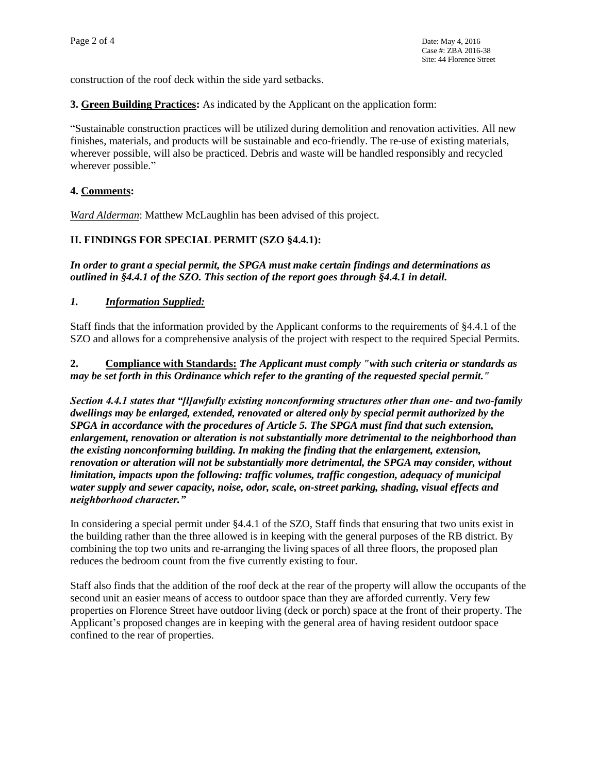construction of the roof deck within the side yard setbacks.

**3. Green Building Practices:** As indicated by the Applicant on the application form:

"Sustainable construction practices will be utilized during demolition and renovation activities. All new finishes, materials, and products will be sustainable and eco-friendly. The re-use of existing materials, wherever possible, will also be practiced. Debris and waste will be handled responsibly and recycled wherever possible."

## **4. Comments:**

*Ward Alderman*: Matthew McLaughlin has been advised of this project.

#### **II. FINDINGS FOR SPECIAL PERMIT (SZO §4.4.1):**

*In order to grant a special permit, the SPGA must make certain findings and determinations as outlined in §4.4.1 of the SZO. This section of the report goes through §4.4.1 in detail.* 

#### *1. Information Supplied:*

Staff finds that the information provided by the Applicant conforms to the requirements of §4.4.1 of the SZO and allows for a comprehensive analysis of the project with respect to the required Special Permits.

**2. Compliance with Standards:** *The Applicant must comply "with such criteria or standards as may be set forth in this Ordinance which refer to the granting of the requested special permit."*

*Section 4.4.1 states that "[l]awfully existing nonconforming structures other than one- and two-family dwellings may be enlarged, extended, renovated or altered only by special permit authorized by the SPGA in accordance with the procedures of Article 5. The SPGA must find that such extension, enlargement, renovation or alteration is not substantially more detrimental to the neighborhood than the existing nonconforming building. In making the finding that the enlargement, extension, renovation or alteration will not be substantially more detrimental, the SPGA may consider, without limitation, impacts upon the following: traffic volumes, traffic congestion, adequacy of municipal water supply and sewer capacity, noise, odor, scale, on-street parking, shading, visual effects and neighborhood character."*

In considering a special permit under §4.4.1 of the SZO, Staff finds that ensuring that two units exist in the building rather than the three allowed is in keeping with the general purposes of the RB district. By combining the top two units and re-arranging the living spaces of all three floors, the proposed plan reduces the bedroom count from the five currently existing to four.

Staff also finds that the addition of the roof deck at the rear of the property will allow the occupants of the second unit an easier means of access to outdoor space than they are afforded currently. Very few properties on Florence Street have outdoor living (deck or porch) space at the front of their property. The Applicant's proposed changes are in keeping with the general area of having resident outdoor space confined to the rear of properties.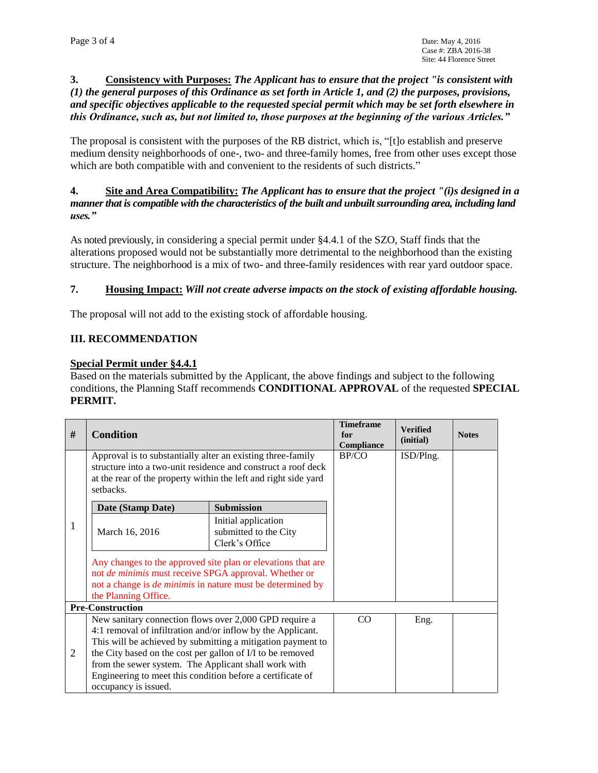## **3. Consistency with Purposes:** *The Applicant has to ensure that the project "is consistent with (1) the general purposes of this Ordinance as set forth in Article 1, and (2) the purposes, provisions, and specific objectives applicable to the requested special permit which may be set forth elsewhere in this Ordinance, such as, but not limited to, those purposes at the beginning of the various Articles."*

The proposal is consistent with the purposes of the RB district, which is, "[t]o establish and preserve medium density neighborhoods of one-, two- and three-family homes, free from other uses except those which are both compatible with and convenient to the residents of such districts."

## **4. Site and Area Compatibility:** *The Applicant has to ensure that the project "(i)s designed in a manner that is compatible with the characteristics of the built and unbuilt surrounding area, including land uses."*

As noted previously, in considering a special permit under §4.4.1 of the SZO, Staff finds that the alterations proposed would not be substantially more detrimental to the neighborhood than the existing structure. The neighborhood is a mix of two- and three-family residences with rear yard outdoor space.

## **7. Housing Impact:** *Will not create adverse impacts on the stock of existing affordable housing.*

The proposal will not add to the existing stock of affordable housing.

## **III. RECOMMENDATION**

#### **Special Permit under §4.4.1**

Based on the materials submitted by the Applicant, the above findings and subject to the following conditions, the Planning Staff recommends **CONDITIONAL APPROVAL** of the requested **SPECIAL PERMIT.** 

| # | <b>Condition</b>                                                                                                                                                                                                                                                                                                                                                                                 |                                                                | <b>Timeframe</b><br>for<br>Compliance | <b>Verified</b><br>(initial) | <b>Notes</b> |  |  |  |  |
|---|--------------------------------------------------------------------------------------------------------------------------------------------------------------------------------------------------------------------------------------------------------------------------------------------------------------------------------------------------------------------------------------------------|----------------------------------------------------------------|---------------------------------------|------------------------------|--------------|--|--|--|--|
| 1 | Approval is to substantially alter an existing three-family<br>structure into a two-unit residence and construct a roof deck                                                                                                                                                                                                                                                                     |                                                                | BP/CO                                 | ISD/Plng.                    |              |  |  |  |  |
|   | at the rear of the property within the left and right side yard<br>setbacks.                                                                                                                                                                                                                                                                                                                     |                                                                |                                       |                              |              |  |  |  |  |
|   | Date (Stamp Date)                                                                                                                                                                                                                                                                                                                                                                                | <b>Submission</b>                                              |                                       |                              |              |  |  |  |  |
|   | March 16, 2016                                                                                                                                                                                                                                                                                                                                                                                   | Initial application<br>submitted to the City<br>Clerk's Office |                                       |                              |              |  |  |  |  |
|   | Any changes to the approved site plan or elevations that are<br>not de minimis must receive SPGA approval. Whether or<br>not a change is <i>de minimis</i> in nature must be determined by<br>the Planning Office.                                                                                                                                                                               |                                                                |                                       |                              |              |  |  |  |  |
|   | <b>Pre-Construction</b>                                                                                                                                                                                                                                                                                                                                                                          |                                                                |                                       |                              |              |  |  |  |  |
| 2 | New sanitary connection flows over 2,000 GPD require a<br>4:1 removal of infiltration and/or inflow by the Applicant.<br>This will be achieved by submitting a mitigation payment to<br>the City based on the cost per gallon of I/I to be removed<br>from the sewer system. The Applicant shall work with<br>Engineering to meet this condition before a certificate of<br>occupancy is issued. |                                                                | CO                                    | Eng.                         |              |  |  |  |  |